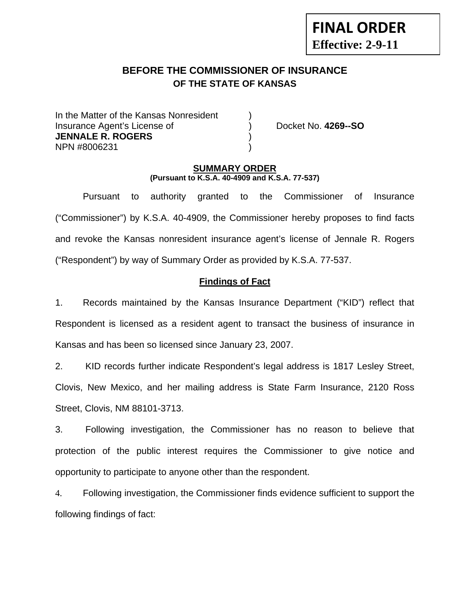# **BEFORE THE COMMISSIONER OF INSURANCE OF THE STATE OF KANSAS**

In the Matter of the Kansas Nonresident Insurance Agent's License of ) Docket No. **4269--SO JENNALE R. ROGERS** ) NPN #8006231 )

**FINAL ORDER**

**Effective: 2-9-11** 

#### **SUMMARY ORDER (Pursuant to K.S.A. 40-4909 and K.S.A. 77-537)**

 Pursuant to authority granted to the Commissioner of Insurance ("Commissioner") by K.S.A. 40-4909, the Commissioner hereby proposes to find facts and revoke the Kansas nonresident insurance agent's license of Jennale R. Rogers ("Respondent") by way of Summary Order as provided by K.S.A. 77-537.

### **Findings of Fact**

1. Records maintained by the Kansas Insurance Department ("KID") reflect that Respondent is licensed as a resident agent to transact the business of insurance in Kansas and has been so licensed since January 23, 2007.

2. KID records further indicate Respondent's legal address is 1817 Lesley Street, Clovis, New Mexico, and her mailing address is State Farm Insurance, 2120 Ross Street, Clovis, NM 88101-3713.

3. Following investigation, the Commissioner has no reason to believe that protection of the public interest requires the Commissioner to give notice and opportunity to participate to anyone other than the respondent.

4. Following investigation, the Commissioner finds evidence sufficient to support the following findings of fact: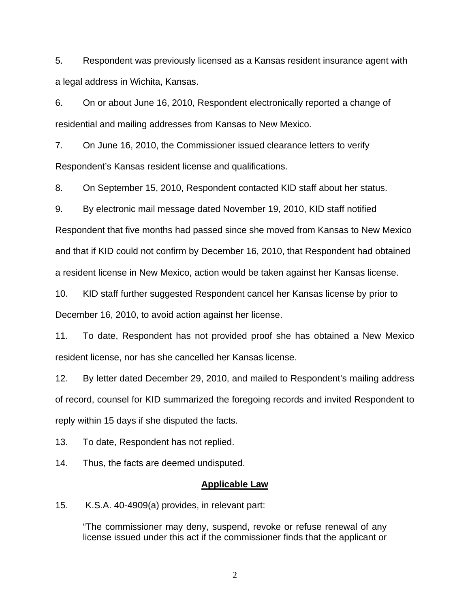5. Respondent was previously licensed as a Kansas resident insurance agent with a legal address in Wichita, Kansas.

6. On or about June 16, 2010, Respondent electronically reported a change of residential and mailing addresses from Kansas to New Mexico.

7. On June 16, 2010, the Commissioner issued clearance letters to verify Respondent's Kansas resident license and qualifications.

8. On September 15, 2010, Respondent contacted KID staff about her status.

9. By electronic mail message dated November 19, 2010, KID staff notified

Respondent that five months had passed since she moved from Kansas to New Mexico and that if KID could not confirm by December 16, 2010, that Respondent had obtained a resident license in New Mexico, action would be taken against her Kansas license.

10. KID staff further suggested Respondent cancel her Kansas license by prior to December 16, 2010, to avoid action against her license.

11. To date, Respondent has not provided proof she has obtained a New Mexico resident license, nor has she cancelled her Kansas license.

12. By letter dated December 29, 2010, and mailed to Respondent's mailing address of record, counsel for KID summarized the foregoing records and invited Respondent to reply within 15 days if she disputed the facts.

13. To date, Respondent has not replied.

14. Thus, the facts are deemed undisputed.

#### **Applicable Law**

15. K.S.A. 40-4909(a) provides, in relevant part:

"The commissioner may deny, suspend, revoke or refuse renewal of any license issued under this act if the commissioner finds that the applicant or

2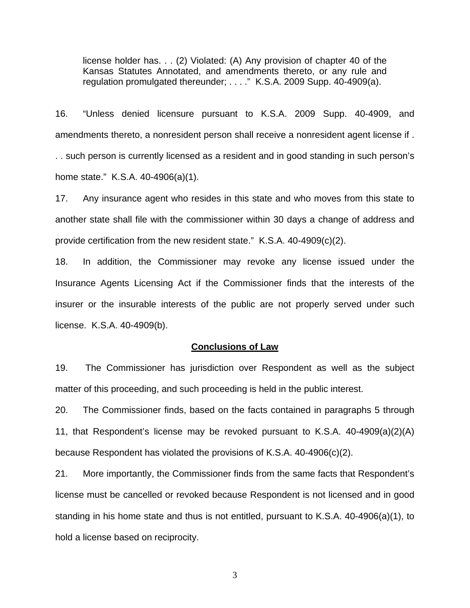license holder has. . . (2) Violated: (A) Any provision of chapter 40 of the Kansas Statutes Annotated, and amendments thereto, or any rule and regulation promulgated thereunder; . . . ." K.S.A. 2009 Supp. 40-4909(a).

16. "Unless denied licensure pursuant to K.S.A. 2009 Supp. 40-4909, and amendments thereto, a nonresident person shall receive a nonresident agent license if . . . such person is currently licensed as a resident and in good standing in such person's home state." K.S.A. 40-4906(a)(1).

17. Any insurance agent who resides in this state and who moves from this state to another state shall file with the commissioner within 30 days a change of address and provide certification from the new resident state." K.S.A. 40-4909(c)(2).

18. In addition, the Commissioner may revoke any license issued under the Insurance Agents Licensing Act if the Commissioner finds that the interests of the insurer or the insurable interests of the public are not properly served under such license. K.S.A. 40-4909(b).

#### **Conclusions of Law**

19. The Commissioner has jurisdiction over Respondent as well as the subject matter of this proceeding, and such proceeding is held in the public interest.

20. The Commissioner finds, based on the facts contained in paragraphs 5 through 11, that Respondent's license may be revoked pursuant to K.S.A. 40-4909(a)(2)(A) because Respondent has violated the provisions of K.S.A. 40-4906(c)(2).

21. More importantly, the Commissioner finds from the same facts that Respondent's license must be cancelled or revoked because Respondent is not licensed and in good standing in his home state and thus is not entitled, pursuant to K.S.A. 40-4906(a)(1), to hold a license based on reciprocity.

3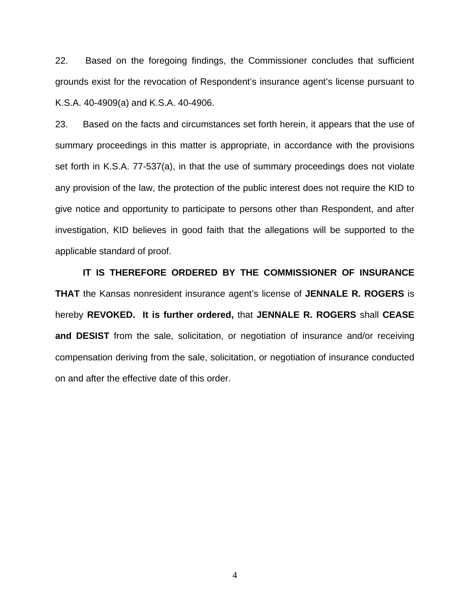22. Based on the foregoing findings, the Commissioner concludes that sufficient grounds exist for the revocation of Respondent's insurance agent's license pursuant to K.S.A. 40-4909(a) and K.S.A. 40-4906.

23. Based on the facts and circumstances set forth herein, it appears that the use of summary proceedings in this matter is appropriate, in accordance with the provisions set forth in K.S.A. 77-537(a), in that the use of summary proceedings does not violate any provision of the law, the protection of the public interest does not require the KID to give notice and opportunity to participate to persons other than Respondent, and after investigation, KID believes in good faith that the allegations will be supported to the applicable standard of proof.

 **IT IS THEREFORE ORDERED BY THE COMMISSIONER OF INSURANCE THAT** the Kansas nonresident insurance agent's license of **JENNALE R. ROGERS** is hereby **REVOKED. It is further ordered,** that **JENNALE R. ROGERS** shall **CEASE and DESIST** from the sale, solicitation, or negotiation of insurance and/or receiving compensation deriving from the sale, solicitation, or negotiation of insurance conducted on and after the effective date of this order.

4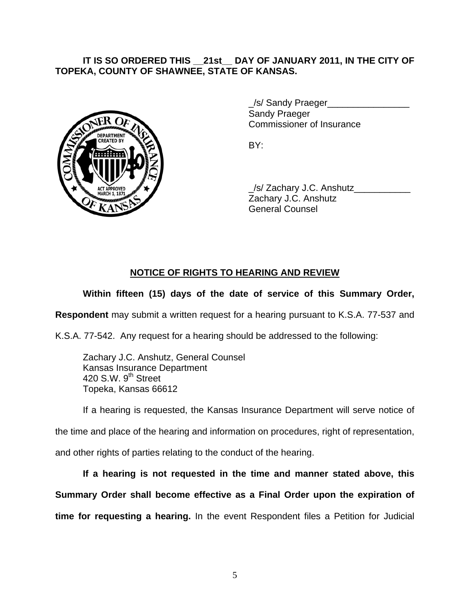### **IT IS SO ORDERED THIS \_\_21st\_\_ DAY OF JANUARY 2011, IN THE CITY OF TOPEKA, COUNTY OF SHAWNEE, STATE OF KANSAS.**



/s/ Sandy Praeger Sandy Praeger Commissioner of Insurance

 \_/s/ Zachary J.C. Anshutz\_\_\_\_\_\_\_\_\_\_\_ Zachary J.C. Anshutz General Counsel

### **NOTICE OF RIGHTS TO HEARING AND REVIEW**

## **Within fifteen (15) days of the date of service of this Summary Order,**

**Respondent** may submit a written request for a hearing pursuant to K.S.A. 77-537 and

K.S.A. 77-542. Any request for a hearing should be addressed to the following:

 Zachary J.C. Anshutz, General Counsel Kansas Insurance Department 420 S.W. 9<sup>th</sup> Street Topeka, Kansas 66612

If a hearing is requested, the Kansas Insurance Department will serve notice of

the time and place of the hearing and information on procedures, right of representation,

and other rights of parties relating to the conduct of the hearing.

**If a hearing is not requested in the time and manner stated above, this Summary Order shall become effective as a Final Order upon the expiration of time for requesting a hearing.** In the event Respondent files a Petition for Judicial